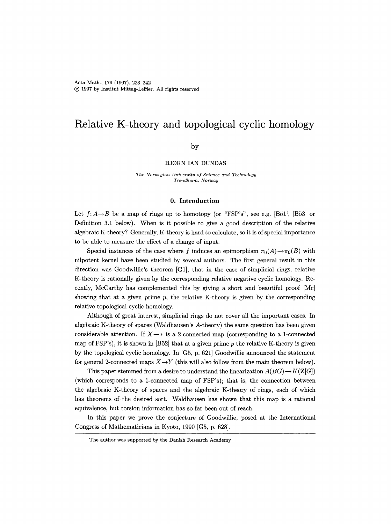# **Relative K-theory and topological cyclic homology**

# by

# BJORN IAN DUNDAS

*The Norwegian University of Science and Technology*   $Trondheim, Norway$ 

#### **O. Introduction**

Let  $f: A \rightarrow B$  be a map of rings up to homotopy (or "FSP's", see e.g. [Bö1], [Bö3] or Definition 3.1 below). When is it possible to give a good description of the relative algebraic K-theory? Generally, K-theory is hard to calculate, so it is of special importance to be able to measure the effect of a change of input.

Special instances of the case where f induces an epimorphism  $\pi_0(A) \to \pi_0(B)$  with nilpotent kernel have been studied by several authors. The first general result in this direction was Goodwillie's theorem [G1], that in the case of simplicial rings, relative K-theory is rationally given by the corresponding relative negative cyclic homology. Recently, McCarthy has complemented this by giving a short and beautiful proof [Mc] showing that at a given prime  $p$ , the relative K-theory is given by the corresponding relative topological cyclic homology.

Although of great interest, simplicial rings do not cover all the important cases. In algebraic K-theory of spaces (Waldhausen's A-theory) the same question has been given considerable attention. If  $X \rightarrow *$  is a 2-connected map (corresponding to a 1-connected map of FSP's), it is shown in  $[B\ddot{o}2]$  that at a given prime p the relative K-theory is given by the topological cyclic homology. In  $[G5, p. 621]$  Goodwillie announced the statement for general 2-connected maps  $X \rightarrow Y$  (this will also follow from the main theorem below).

This paper stemmed from a desire to understand the linearization  $A(BG) \to K(\mathbf{Z}[G])$ (which corresponds to a 1-connected map of FSP's); that is, the connection between the algebraic K-theory of spaces and the algebraic K-theory of rings, each of which has theorems of the desired sort. Waldhausen has shown that this map is a rational equivalence, but torsion information has so far been out of reach.

In this paper we prove the conjecture of Goodwillie, posed at the International Congress of Mathematicians in Kyoto, 1990 [G5, p. 628].

The author was supported by the Danish Research Academy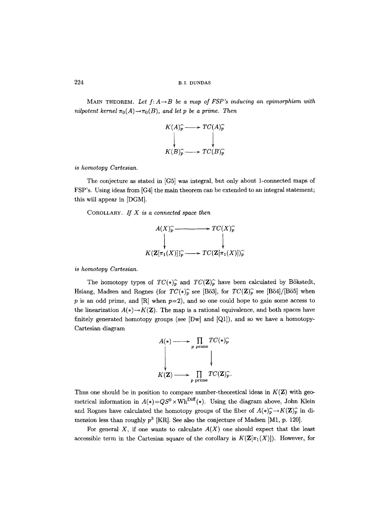MAIN THEOREM. Let  $f: A \rightarrow B$  be a map of FSP's inducing an epimorphism with *nilpotent kernel*  $\pi_0(A) \to \pi_0(B)$ , *and let p be a prime. Then* 

$$
K(A)_{p}^{\frown} \longrightarrow TC(A)_{p}^{\frown}
$$
  
\n
$$
\downarrow
$$
  
\n
$$
K(B)_{p}^{\frown} \longrightarrow TC(B)_{p}^{\frown}
$$

*is homotopy Cartesian.* 

The conjecture as stated in [G5] was integral, but only about 1-connected maps of FSP's. Using ideas from [G4] the main theorem can be extended to an integral statement; this will appear in [DGM].

COROLLARY. *If X i8 a connected space then* 



*is homotopy Cartesian.* 

The homotopy types of  $TC(*)_p^{\frown}$  and  $TC(\mathbf{Z})_p^{\frown}$  have been calculated by Bökstedt, Hsiang, Madsen and Rognes (for  $TC(*)_p^{\frown}$  see [Bö3], for  $TC(\mathbf{Z})_p^{\frown}$  see [Bö4]/[Bö5] when p is an odd prime, and  $[R]$  when  $p=2$ ), and so one could hope to gain some access to the linearization  $A(*) \rightarrow K(\mathbf{Z})$ . The map is a rational equivalence, and both spaces have finitely generated homotopy groups (see  $[Dw]$  and  $[Q1]$ ), and so we have a homotopy-Cartesian diagram

$$
A(*) \longrightarrow \prod_{p \text{ prime}} TC(*)_p^{\frown}
$$
  
\n
$$
K(\mathbf{Z}) \longrightarrow \prod_{p \text{ prime}} TC(\mathbf{Z})_p^{\frown}.
$$

Thus one should be in position to compare number-theoretical ideas in  $K(\mathbf{Z})$  with geometrical information in  $A(*) = QS^0 \times \text{Wh}^{\text{Diff}}(*)$ . Using the diagram above, John Klein and Rognes have calculated the homotopy groups of the fiber of  $A(*)_{p}^{-} \rightarrow K(\mathbf{Z})_{p}^{-}$  in dimension less than roughly  $p^3$  [KR]. See also the conjecture of Madsen [M1, p. 120].

For general  $X$ , if one wants to calculate  $A(X)$  one should expect that the least accessible term in the Cartesian square of the corollary is  $K(\mathbf{Z}[\pi_1(X)])$ . However, for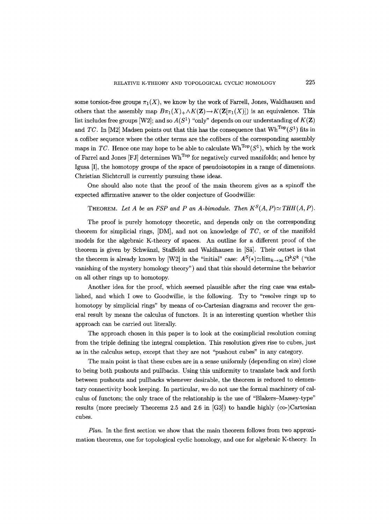some torsion-free groups  $\pi_1(X)$ , we know by the work of Farrell, Jones, Waldhausen and others that the assembly map  $B_{\pi_1}(X)_+ \wedge K(\mathbf{Z}) \to K(\mathbf{Z}[\pi_1(X)])$  is an equivalence. This list includes free groups [W2]; and so  $A(S^1)$  "only" depends on our understanding of  $K(\mathbf{Z})$ and *TC*. In [M2] Madsen points out that this has the consequence that  $Wh^{Top}(S^1)$  fits in a cofiber sequence where the other terms are the cofibers of the corresponding assembly maps in *TC*. Hence one may hope to be able to calculate  $Wh^{Top}(S^1)$ , which by the work of Farrel and Jones  $[FJ]$  determines  $Wh^{Top}$  for negatively curved manifolds; and hence by Igusa [I], the homotopy groups of the space of pseudoisotopies in a range of dimensions. Christian Slichtcrull is currently pursuing these ideas.

One should also note that the proof of the main theorem gives as a spinoff the expected affirmative answer to the older conjecture of Goodwillie:

#### THEOREM. Let A be an FSP and P an A-bimodule. Then  $K^S(A, P) \simeq THH(A, P)$ .

The proof is purely homotopy theoretic, and depends only on the corresponding theorem for simplicial rings, [DM], and not on knowledge of *TC,* or of the manifold models for the algebraic K-theory of spaces. An outline for a different proof of the theorem is given by Schwänzl, Staffeldt and Waldhausen in [Sä]. Their outset is that the theorem is already known by [W2] in the "initial" case:  $A^S(*) \simeq \lim_{k\to\infty} \Omega^k S^k$  ("the vanishing of the mystery homology theory") and that this should determine the behavior on all other rings up to homotopy.

Another idea for the proof, which seemed plausible after the ring case was established, and which I owe to Goodwillie, is the following. Try to "resolve rings up to homotopy by simplicial rings" by means of co-Cartesian diagrams and recover the general result by means the calculus of functors. It is an interesting question whether this approach can be carried out literally.

The approach chosen in this paper is to look at the cosimplicial resolution coming from the triple defining the integral completion. This resolution gives rise to cubes, just as in the calculus setup, except that they are not "pushout cubes" in any category.

The main point is that these cubes are in a sense uniformly (depending on size) close to being both pushouts and pullbacks. Using this uniformity to translate back and forth between pushouts and pullbacks whenever desirable, the theorem is reduced to elementary connectivity book keeping. In particular, we do not use the formal machinery of calculus of functors; the only trace of the relationship is the use of "Blakers-Massey-type" results (more precisely Theorems 2.5 and 2.6 in  $[G3]$ ) to handle highly (co-)Cartesian cubes.

*Plan.* In the first section we show that the main theorem follows from two approximation theorems, one for topological cyclic homology, and one for algebraic K-theory. In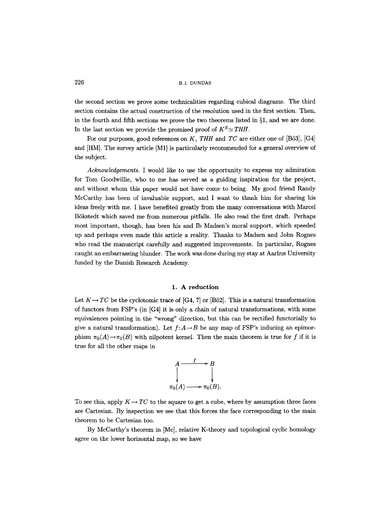the second section we prove some technicalities regarding cubical diagrams. The third section contains the actual construction of the resolution used in the first section. Then, in the fourth and fifth sections we prove the two theorems listed in  $\S1$ , and we are done. In the last section we provide the promised proof of  $K^S \simeq THH$ .

For our purposes, good references on *K, THH* and *TC* are either one of [B53], [G4] and [HM]. The survey article [M1] is particularly recommended for a general overview of the subject.

*Acknowledgements.* I would like to use the opportunity to express my admiration for Tom Goodwillie, who to me has served as a guiding inspiration for the project, and without whom this paper would not have come to being. My good friend Randy McCarthy has been of invaluable support, and I want to thank him for sharing his ideas freely with me. I have benefited greatly from the many conversations with Marcel BSkstedt which saved me from numerous pitfalls. He also read the first draft. Perhaps most important, though, has been his and Ib Madsen's moral support, which speeded up and perhaps even made this article a reality. Thanks to Madsen and John Rognes who read the manuscript carefully and suggested improvements. In particular, Rognes caught an embarrassing blunder. The work was done during my stay at Aarhus University funded by the Danish Research Academy.

#### **1. A reduction**

Let  $K \rightarrow TC$  be the cyclotomic trace of [G4, 7] or [B62]. This is a natural transformation of functors from FSP's (in [G4] it is only a chain of natural transformations, with some equivalences pointing in the "wrong" direction, but this can be rectified functorially to give a natural transformation). Let  $f: A \rightarrow B$  be any map of FSP's inducing an epimorphism  $\pi_0(A) \to \pi_0(B)$  with nilpotent kernel. Then the main theorem is true for f if it is true for all the other maps in



To see this, apply  $K \rightarrow TC$  to the square to get a cube, where by assumption three faces are Cartesian. By inspection we see that this forces the face corresponding to the main theorem to be Cartesian too.

By McCarthy's theorem in [Mc], relative K-theory and topological cyclic homology agree on the lower horizontal map, so we have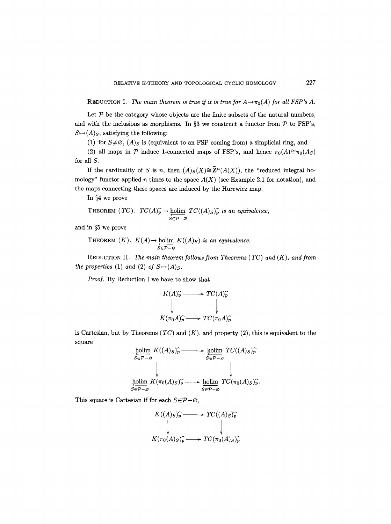REDUCTION I. *The main theorem is true if it is true for*  $A \rightarrow \pi_0(A)$  *for all FSP's A.* 

Let  $P$  be the category whose objects are the finite subsets of the natural numbers, and with the inclusions as morphisms. In §3 we construct a functor from  $P$  to FSP's,  $S \mapsto (A)_S$ , satisfying the following:

(1) for  $S \neq \emptyset$ ,  $(A)_S$  is (equivalent to an FSP coming from) a simplicial ring, and

(2) all maps in  $P$  induce 1-connected maps of FSP's, and hence  $\pi_0(A) \cong \pi_0(A_S)$ for all S.

If the cardinality of S is n, then  $(A)_S(X)\cong \widetilde{\mathbf{Z}}^n(A(X))$ , the "reduced integral homology" functor applied n times to the space  $A(X)$  (see Example 2.1 for notation), and the maps connecting these spaces are induced by the Hurewicz map.

In  $§4$  we prove

THEOREM 
$$
(TC)
$$
.  $TC(A)\widehat{p} \to \underline{\text{holim}}_{S \in \mathcal{P} - \varnothing} TC((A)_{S})\widehat{p}$  is an equivalence,

and in  $\S 5$  we prove

THEOREM  $(K)$ .  $K(A) \rightarrow$  holim  $K((A)_{S})$  is an equivalence. *SET~-~* 

REDUCTION II. *The main theorem follows from Theorems ( TC) and (K), and from the properties* (1) *and* (2) *of*  $S \rightarrow (A)_S$ .

*Proof.* By Reduction I we have to show that

$$
K(A)_{P}^{\sim} \longrightarrow TC(A)_{P}^{\sim}
$$
  
\n
$$
\downarrow
$$
  
\n
$$
K(\pi_{0}A)_{P}^{\sim} \longrightarrow TC(\pi_{0}A)_{P}^{\sim}
$$

is Cartesian, but by Theorems  $(TC)$  and  $(K)$ , and property  $(2)$ , this is equivalent to the square

$$
\underset{S \in \mathcal{P} - \varnothing}{\text{holim}} \ K((A)_S)_{\widehat{p}} \longrightarrow \underset{S \in \mathcal{P} - \varnothing}{\text{holim}} \ TC((A)_S)_{\widehat{p}}^{\widehat{p}}
$$
\n
$$
\downarrow \qquad \qquad \downarrow \qquad \qquad \downarrow
$$
\n
$$
\underset{S \in \mathcal{P} - \varnothing}{\text{holim}} \ K(\pi_0(A)_S)_{\widehat{p}} \longrightarrow \underset{S \in \mathcal{P} - \varnothing}{\text{holim}} \ TC(\pi_0(A)_S)_{\widehat{p}}^{\widehat{p}}.
$$

This square is Cartesian if for each  $S \in \mathcal{P}-\varnothing$ ,

$$
K((A)_S)^{\widehat{p}} \longrightarrow TC((A)_S)^{\widehat{p}}
$$
  
\n
$$
K(\pi_0(A)_S)^{\widehat{p}} \longrightarrow TC(\pi_0(A)_S)^{\widehat{p}}
$$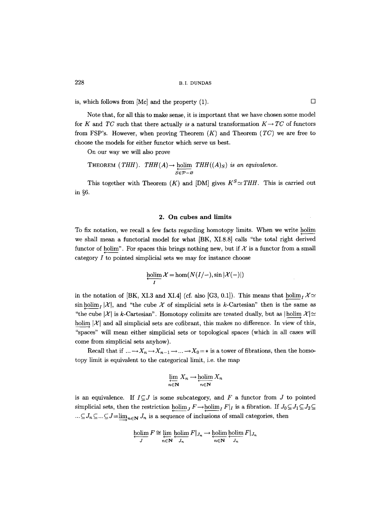is, which follows from  $[Mc]$  and the property (1).

Note that, for all this to make sense, it is important that we have chosen some model for K and *TC* such that there actually *is* a natural transformation  $K \rightarrow TC$  of functors from FSP's. However, when proving Theorem (K) and Theorem *(TC)* we are free to choose the models for either functor which serve us best.

On our way we will also prove

THEOREM (THH). 
$$
THH(A) \rightarrow \text{holim}_{S \in \mathcal{P} - \varnothing} THH((A)_{S})
$$
 is an equivalence.

This together with Theorem  $(K)$  and  $[DM]$  gives  $K^S \simeq THH$ . This is carried out in  $66$ .

### 2. On cubes and limits

To fix notation, we recall a few facts regarding homotopy limits. When we write holim ( we shall mean a functorial model for what [BK, XI.8.8] calls "the total right derived functor of holim". For spaces this brings nothing new, but if  $\mathcal X$  is a functor from a small category I to pointed simplicial sets we may for instance choose

$$
\underset{I}{\hbox{holim}}\,\mathcal{X}=\hom(N(I/-),\sin|\mathcal{X}(-)|)
$$

in the notation of [BK, XI.3 and XI.4] (cf. also [G3, 0.1]). This means that  $\text{holim}_{I} \mathcal{X} \simeq$ sin holim  $\mathcal{X}|\mathcal{X}|$ , and "the cube X of simplicial sets is k-Cartesian" then is the same as "the cube  $|\mathcal{X}|$  is k-Cartesian". Homotopy colimits are treated dually, but as  $|\text{holim }\mathcal{X}| \simeq$ holim  $|\mathcal{X}|$  and all simplicial sets are cofibrant, this makes no difference. In view of this, "spaces" will mean either simplicial sets or topological spaces (which in all cases will come from simplicial sets anyhow).

Recall that if  $\ldots \longrightarrow X_n \longrightarrow X_{n-1} \longrightarrow \ldots \longrightarrow X_0 = *$  is a tower of fibrations, then the homotopy limit is equivalent to the categorical limit, i.e. the map

$$
\varprojlim_{n\in\mathbf{N}} X_n \to \varprojlim_{n\in\mathbf{N}} X_n
$$

is an equivalence. If  $I\subseteq J$  is some subcategory, and F a functor from J to pointed simplicial sets, then the restriction  $\text{holim}_J F \to \text{holim}_I F|_I$  is a fibration. If  $J_0 \subseteq J_1 \subseteq J_2 \subseteq$  $\ldots \subseteq J_n \subseteq \ldots \subseteq J=\lim_{n\in\mathbb{N}} J_n$  is a sequence of inclusions of small categories, then

$$
\underset{J}{\text{holim}}\,F \cong \underset{n\in\mathbb{N}}{\text{lim}}\,\underset{J_n}{\text{holim}}\,F|_{J_n} \longrightarrow \underset{n\in\mathbb{N}}{\text{holim}}\,\underset{J_n}{\text{holim}}\,F|_{J_n}
$$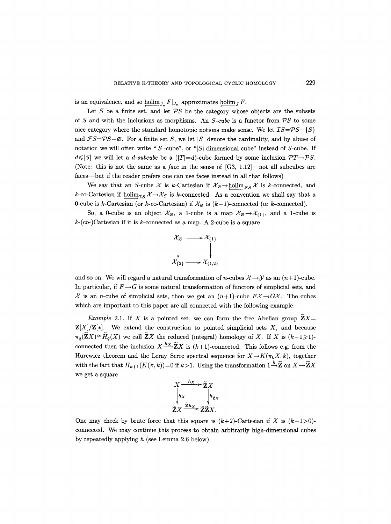is an equivalence, and so holim<sub>J<sub>n</sub></sub>  $F|_{J_n}$  approximates holim<sub>J</sub> F.

Let S be a finite set, and let  $PS$  be the category whose objects are the subsets of S and with the inclusions as morphisms. An  $S$ -cube is a functor from  $PS$  to some nice category where the standard homotopic notions make sense. We let  $\mathcal{IS}=\mathcal{PS}-\{S\}$ and  $FS = PS - \varnothing$ . For a finite set S, we let  $|S|$  denote the cardinality, and by abuse of notation we will often write "|S|-cube", or "|S|-dimensional cube" instead of S-cube. If  $d\leqslant|S|$  we will let a *d-subcube* be a  $(|T|=d)$ -cube formed by some inclusion  $\mathcal{PT}\rightarrow\mathcal{PS}$ . (Note: this is not the same as a *face* in the sense of [G3, 1.12]--not all subcubes are faces—but if the reader prefers one can use faces instead in all that follows)

We say that an S-cube  $\mathcal X$  is k-Cartesian if  $\mathcal X_{\varnothing} \to \text{holim}_{\mathcal FS} \mathcal X$  is k-connected, and k-co-Cartesian if holim<sub>*TS*</sub>  $\chi \rightarrow \chi$ <sub>S</sub> is k-connected. As a convention we shall say that a 0-cube is k-Cartesian (or k-co-Cartesian) if  $\mathcal{X}_{\emptyset}$  is  $(k-1)$ -connected (or k-connected).

So, a 0-cube is an object  $\mathcal{X}_{\varnothing}$ , a 1-cube is a map  $\mathcal{X}_{\varnothing}\to\mathcal{X}_{\{1\}}$ , and a 1-cube is  $k$ -(co-)Cartesian if it is  $k$ -connected as a map. A 2-cube is a square

$$
\begin{array}{ccc}\n\mathcal{X}_{\beta} & \longrightarrow & \mathcal{X}_{\{1\}} \\
\downarrow & & \downarrow \\
\mathcal{X}_{\{2\}} & \longrightarrow & \mathcal{X}_{\{1,2\}}\n\end{array}
$$

and so on. We will regard a natural transformation of *n*-cubes  $\mathcal{X} \rightarrow \mathcal{Y}$  as an  $(n+1)$ -cube. In particular, if  $F\rightarrow G$  is some natural transformation of functors of simplicial sets, and  $\mathcal X$  is an *n*-cube of simplicial sets, then we get an  $(n+1)$ -cube  $F\mathcal X \rightarrow G\mathcal X$ . The cubes which are important to this paper are all connected with the following example.

*Example 2.1.* If X is a pointed set, we can form the free Abelian group  $\mathbf{Z}X=$  $\mathbf{Z}[X]/\mathbf{Z}[*]$ . We extend the construction to pointed simplicial sets X, and because  $\pi_q(\widetilde{\mathbf{Z}}X) \cong \widetilde{H}_q(X)$  we call  $\widetilde{\mathbf{Z}}X$  the reduced (integral) homology of X. If X is  $(k-1)\geq 1$ )connected then the inclusion  $X \xrightarrow{h_X} \widetilde{\mathbf{Z}} X$  is  $(k+1)$ -connected. This follows e.g. from the Hurewicz theorem and the Leray-Serre spectral sequence for  $X \rightarrow K(\pi_k X, k)$ , together with the fact that  $H_{k+1}(K(\pi, k)) = 0$  if  $k > 1$ . Using the transformation  $1 \stackrel{h}{\rightarrow} \widetilde{\mathbf{Z}}$  on  $X \rightarrow \widetilde{\mathbf{Z}} X$ we get a square



One may check by brute force that this square is  $(k+2)$ -Cartesian if X is  $(k-1>0)$ connected. We may continue this process to obtain arbitrarily high-dimensional cubes by repeatedly applying h (see Lemma 2.6 below).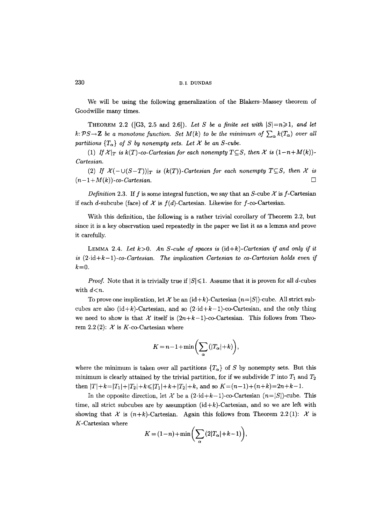We will be using the following generalization of the Blakers-Massey theorem of Goodwillie many times.

THEOREM 2.2 ([G3, 2.5 and 2.6]). Let S be a finite set with  $|S|=n\geq 1$ , and let  $k: \mathcal{P}S \rightarrow \mathbb{Z}$  be a monotone function. Set  $M(k)$  to be the minimum of  $\sum_{\alpha} k(T_{\alpha})$  over all partitions  ${T_{\alpha}}$  *of S by nonempty sets. Let*  $X$  *be an S-cube.* 

(1) If  $\mathcal{X}|_T$  is  $k(T)$ -co-Cartesian for each nonempty  $T \subseteq S$ , then  $\mathcal{X}$  is  $(1-n+M(k))$ -*Cartesian.* 

(2) If  $\mathcal{X}(-\cup (S-T))|_{T}$  is  $(k(T))$ -Cartesian for each nonempty  $T \subseteq S$ , then  $\mathcal{X}$  is  $(n-1+M(k))$ -co-Cartesian.  $\Box$ 

*Definition 2.3.* If f is some integral function, we say that an S-cube  $\mathcal X$  is f-Cartesian if each d-subcube (face) of  $\mathcal X$  is  $f(d)$ -Cartesian. Likewise for f-co-Cartesian.

With this definition, the following is a rather trivial corollary of Theorem 2.2, but since it is a key observation used repeatedly in the paper we list it as a lemma and prove it carefully.

LEMMA 2.4. Let  $k > 0$ . An S-cube of spaces is  $(id + k)$ -Cartesian if and only if it  $is$   $(2 \cdot id + k - 1)$ -co-Cartesian. The implication Cartesian to co-Cartesian holds even if  $k=0$ .

*Proof.* Note that it is trivially true if  $|S| \leq 1$ . Assume that it is proven for all d-cubes with  $d \lt n$ .

To prove one implication, let X be an  $(id+k)$ -Cartesian  $(n=|S|)$ -cube. All strict subcubes are also  $(id+k)$ -Cartesian, and so  $(2 \cdot id+k-1)$ -co-Cartesian, and the only thing we need to show is that  $\mathcal X$  itself is  $(2n+k-1)$ -co-Cartesian. This follows from Theorem 2.2(2):  $X$  is K-co-Cartesian where

$$
K = n - 1 + \min\left(\sum_{\alpha}(|T_{\alpha}| + k)\right),
$$

where the minimum is taken over all partitions  ${T_{\alpha}}$  of S by nonempty sets. But this minimum is clearly attained by the trivial partition, for if we subdivide  $T$  into  $T_1$  and  $T_2$ then  $|T|+k=|T_1|+|T_2|+k\leq |T_1|+k+|T_2|+k$ , and so  $K=(n-1)+(n+k)=2n+k-1$ .

In the opposite direction, let X' be a  $(2 \cdot id + k - 1)$ -co-Cartesian  $(n=|S|)$ -cube. This time, all strict subcubes are by assumption  $(id+k)$ -Cartesian, and so we are left with showing that X is  $(n+k)$ -Cartesian. Again this follows from Theorem 2.2(1): X is K-Cartesian where

$$
K = (1-n) + \min\left(\sum_{\alpha} (2|T_{\alpha}|+k-1)\right),
$$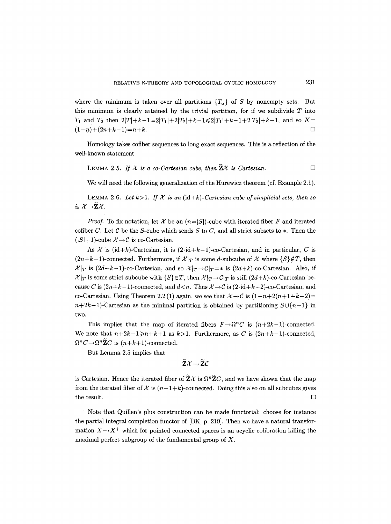where the minimum is taken over all partitions  ${T_{\alpha}}$  of S by nonempty sets. But this minimum is clearly attained by the trivial partition, for if we subdivide  $T$  into  $T_1$  and  $T_2$  then  $2|T|+k-1=2|T_1|+2|T_2|+k-1\leq 2|T_1|+k-1+2|T_2|+k-1$ , and so  $K=$  $(1-n)+(2n+k-1)=n+k.$ 

Homology takes cofiber sequences to long exact sequences. This is a reflection of the well-known statement

LEMMA 2.5. If  $X$  is a co-Cartesian cube, then  $\widetilde{\mathbb{Z}}X$  is Cartesian.

We will need the following generalization of the Hurewicz theorem (cf. Example 2.1).

LEMMA 2.6. Let  $k>1$ . If  $\mathcal X$  is an (id+k)-Cartesian cube of simplicial sets, then so *is*  $\mathcal{X} \rightarrow \widetilde{\mathbf{Z}} \mathcal{X}$ .

*Proof.* To fix notation, let X be an  $(n=|S|)$ -cube with iterated fiber F and iterated cofiber C. Let C be the S-cube which sends S to C, and all strict subsets to  $*$ . Then the  $(|S|+1)$ -cube  $\mathcal{X}\rightarrow\mathcal{C}$  is co-Cartesian.

As X is  $(id+k)$ -Cartesian, it is  $(2\cdot id+k-1)$ -co-Cartesian, and in particular, C is  $(2n+k-1)$ -connected. Furthermore, if  $\mathcal{X}|_T$  is some d-subcube of X where  $\{S\}\notin T$ , then  $\mathcal{X}|_T$  is  $(2d+k-1)$ -co-Cartesian, and so  $\mathcal{X}|_T\rightarrow\mathcal{C}|_T=*$  is  $(2d+k)$ -co-Cartesian. Also, if  $\mathcal{X}|_T$  is some strict subcube with  $\{S\} \in T$ , then  $\mathcal{X}|_T \to \mathcal{C}|_T$  is still  $(2d+k)$ -co-Cartesian because C is  $(2n+k-1)$ -connected, and  $d < n$ . Thus  $\mathcal{X} \to \mathcal{C}$  is  $(2 \cdot id + k-2)$ -co-Cartesian, and co-Cartesian. Using Theorem 2.2 (1) again, we see that  $\mathcal{X} \rightarrow \mathcal{C}$  is  $(1-n+2(n+1+k-2)=$  $n+2k-1$ -Cartesian as the minimal partition is obtained by partitioning  $S\cup\{n+1\}$  in two:

This implies that the map of iterated fibers  $F \rightarrow \Omega^n C$  is  $(n+2k-1)$ -connected. We note that  $n+2k-1\geq n+k+1$  as  $k>1$ . Furthermore, as C is  $(2n+k-1)$ -connected,  $\Omega^n C \rightarrow \Omega^n \widetilde{\mathbf{Z}} C$  is  $(n+k+1)$ -connected.

But Lemma 2.5 implies that

$$
\widetilde{\mathbf{Z}}\mathcal{X}\rightarrow\widetilde{\mathbf{Z}}\mathcal{C}
$$

is Cartesian. Hence the iterated fiber of  $\widetilde{\mathbf{Z}}\mathcal{X}$  is  $\Omega^n \widetilde{\mathbf{Z}}C$ , and we have shown that the map from the iterated fiber of  $\mathcal X$  is  $(n+1+k)$ -connected. Doing this also on all subcubes gives the result.  $\Box$ 

Note that Quillen's plus construction can be made functorial: choose for instance the partial integral completion functor of [BK, p. 219]. Then we have a natural transformation  $X \rightarrow X^+$  which for pointed connected spaces is an acyclic cofibration killing the maximal perfect subgroup of the fundamental group of  $X$ .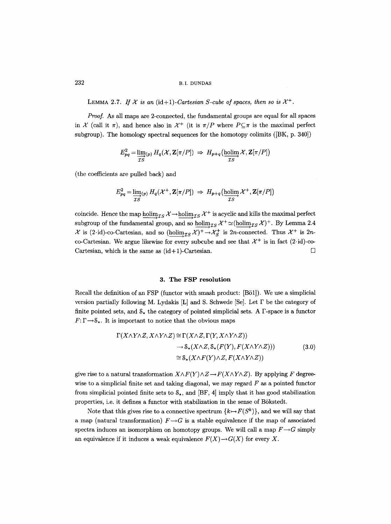LEMMA 2.7. If  $X$  is an (id+1)-Cartesian S-cube of spaces, then so is  $X^+$ .

*Proof.* As all maps are 2-connected, the fundamental groups are equal for all spaces in X (call it  $\pi$ ), and hence also in X<sup>+</sup> (it is  $\pi/P$  where  $P \subseteq \pi$  is the maximal perfect subgroup). The homology spectral sequences for the homotopy colimits ([BK, p. 340])

$$
E_{pq}^2 = \underline{\lim_{\mathcal{I}\,S}}_{(p)} H_q(\mathcal{X}, \mathbf{Z}[\pi/P]) \Rightarrow H_{p+q}(\underline{\operatorname{holim}}_{\mathcal{I}S} \mathcal{X}, \mathbf{Z}[\pi/P])
$$

(the coefficients are pulled back) and

$$
E_{pq}^2 = \varinjlim_{TS}(p) H_q(\mathcal{X}^+, \mathbf{Z}[\pi/P]) \Rightarrow H_{p+q}(\varinjlim_{TS} \mathcal{X}^+, \mathbf{Z}[\pi/P])
$$

coincide. Hence the map holim<sub>*LS*</sub>  $\chi$ <sup>-</sup>-holim<sub>*LS*</sub>  $\chi$ <sup>+</sup> is acyclic and kills the maximal perfect subgroup of the fundamental group, and so holim<sub>*IS*</sub>  $\mathcal{X}^+ \simeq$  (holim<sub>*IS*</sub>  $\mathcal{X}$ )<sup>+</sup>. By Lemma 2.4  $\mathcal X$  is (2.id)-co-Cartesian, and so (holim<sub>*TS</sub> X*)<sup>+</sup> $\rightarrow$  $\mathcal X^+_S$  is 2*n*-connected. Thus  $\mathcal X^+$  is 2*n*-</sub> co-Cartesian. We argue likewise for every subcube and see that  $\mathcal{X}^+$  is in fact (2.id)-co-Cartesian, which is the same as  $(id+1)$ -Cartesian.  $\Box$ 

### **3. The FSP resolution**

Recall the definition of an FSP (functor with smash product: [B51]). We use a simplicial version partially following M. Lydakis  $[L]$  and S. Schwede [Se]. Let  $\Gamma$  be the category of finite pointed sets, and  $S_*$  the category of pointed simplicial sets. A  $\Gamma$ -space is a functor  $F: \Gamma \rightarrow S_*$ . It is important to notice that the obvious maps

$$
\Gamma(X \wedge Y \wedge Z, X \wedge Y \wedge Z) \cong \Gamma(X \wedge Z, \Gamma(Y, X \wedge Y \wedge Z))
$$
  
\n
$$
\rightarrow \mathcal{S}_*(X \wedge Z, \mathcal{S}_*(F(Y), F(X \wedge Y \wedge Z)))
$$
  
\n
$$
\cong \mathcal{S}_*(X \wedge F(Y) \wedge Z, F(X \wedge Y \wedge Z))
$$
\n(3.0)

give rise to a natural transformation  $X \wedge F(Y) \wedge Z \rightarrow F(X \wedge Y \wedge Z)$ . By applying F degreewise to a simplicial finite set and taking diagonal, we may regard  $F$  as a pointed functor from simplicial pointed finite sets to  $\mathcal{S}_*$ , and [BF, 4] imply that it has good stabilization properties, i.e. it defines a functor with stabilization in the sense of B6kstedt.

Note that this gives rise to a connective spectrum  $\{k \mapsto F(S^k)\}\)$ , and we will say that a map (natural transformation)  $F\rightarrow G$  is a stable equivalence if the map of associated spectra induces an isomorphism on homotopy groups. We will call a map  $F \rightarrow G$  simply an equivalence if it induces a weak equivalence  $F(X) \rightarrow G(X)$  for every X.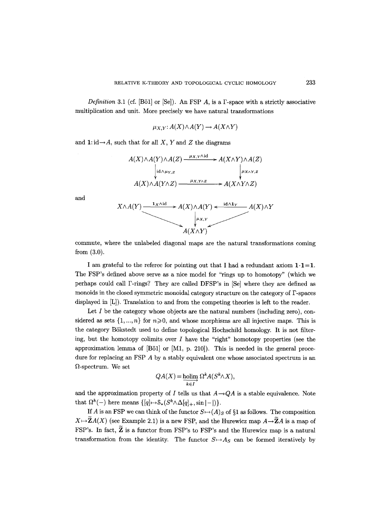*Definition* 3.1 (cf. [Bö1] or [Se]). An FSP A, is a  $\Gamma$ -space with a strictly associative multiplication and unit. More precisely we have natural transformations

$$
\mu_{X,Y}: A(X) \wedge A(Y) \to A(X \wedge Y)
$$

and  $1: id \rightarrow A$ , such that for all X, Y and Z the diagrams



and

commute, where the unlabeled diagonal maps are the natural transformations coming from (3.0).

I am grateful to the referee for pointing out that I had a redundant axiom  $1 \cdot 1 = 1$ . The FSP's defined above serve as a nice model for "rings up to homotopy" (which we perhaps could call F-rings? They are called DFSP's in [Se] where they are defined as monoids in the closed symmetric monoidal category structure on the category of F-spaces displayed in [L]). Translation to and from the competing theories is left to the reader.

Let  $I$  be the category whose objects are the natural numbers (including zero), considered as sets  $\{1, ..., n\}$  for  $n \ge 0$ , and whose morphisms are all injective maps. This is the category Bökstedt used to define topological Hochschild homology. It is not filtering, but the homotopy colimits over  $I$  have the "right" homotopy properties (see the approximation lemma of [B51] or [M1, p. 210]). This is needed in the general procedure for replacing an FSP A by a stably equivalent one whose associated spectrum is an  $\Omega$ -spectrum. We set

$$
QA(X) = \underline{\underset{k \in I}{\text{holim}}} \Omega^k A(S^k \wedge X),
$$

and the approximation property of  $I$  tells us that  $A \rightarrow QA$  is a stable equivalence. Note that  $\Omega^k(-)$  here means  $\{[q] \mapsto \mathcal{S}_*(S^k \wedge \Delta[q]_+, \sin|-|\}.$ 

If A is an FSP we can think of the functor  $S \mapsto (A)_S$  of §1 as follows. The composition  $X \mapsto ZA(X)$  (see Example 2.1) is a new FSP, and the Hurewicz map  $A \rightarrow \tilde{Z}A$  is a map of FSP's. In fact, Z is a functor from FSP's to FSP's and the Hurewicz map is a natural transformation from the identity. The functor  $S \mapsto A_S$  can be formed iteratively by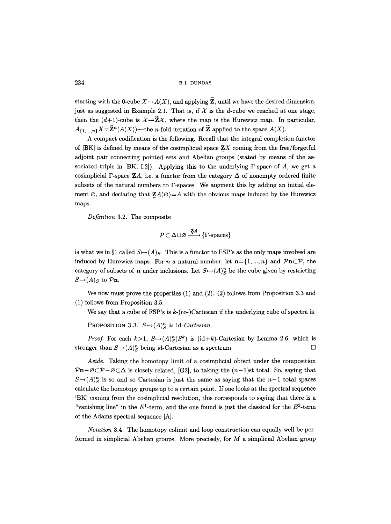starting with the 0-cube  $X \mapsto A(X)$ , and applying  $\widetilde{Z}$ , until we have the desired dimension, just as suggested in Example 2.1. That is, if  $\mathcal X$  is the d-cube we reached at one stage, then the  $(d+1)$ -cube is  $\mathcal{X} \rightarrow \mathbb{Z} \mathcal{X}$ , where the map is the Hurewicz map. In particular,  $A_{\{1,...,n\}}X=\widetilde{\mathbf{Z}}^n(A(X))$ —the *n*-fold iteration of  $\widetilde{\mathbf{Z}}$  applied to the space  $A(X)$ .

A compact codification is the following. Recall that the integral completion functor of  $[BK]$  is defined by means of the cosimplicial space  $ZX$  coming from the free/forgetful adjoint pair connecting pointed sets and Abelian groups (stated by means of the associated triple in  $[BK, I.2]$ . Applying this to the underlying  $\Gamma$ -space of A, we get a cosimplicial  $\Gamma$ -space ZA, i.e. a functor from the category  $\Delta$  of nonempty ordered finite subsets of the natural numbers to F-spaces. We augment this by adding an initial element  $\varnothing$ , and declaring that  $\mathbf{Z}A(\varnothing) = A$  with the obvious maps induced by the Hurewicz maps.

*Definition* 3.2. The composite

$$
\mathcal{P} \subset \Delta \cup \varnothing \xrightarrow{\mathbf{Z}A} \{\Gamma\text{-spaces}\}
$$

is what we in  $\S1$  called  $S \rightarrow (A)_S$ . This is a functor to FSP's as the only maps involved are induced by Hurewicz maps. For n a natural number, let  $n = \{1, ..., n\}$  and  $\mathcal{P}_n \subset \mathcal{P}$ , the category of subsets of **n** under inclusions. Let  $S \rightarrow (A)_{\alpha}^n$  be the cube given by restricting  $S \mapsto (A)_S$  to  $\mathcal{P}\mathbf{n}$ .

We now must prove the properties  $(1)$  and  $(2)$ .  $(2)$  follows from Proposition 3.3 and (1) follows from Proposition 3.5.

We say that a cube of  $FSP's$  is  $k$ -(co-)Cartesian if the underlying cube of spectra is.

PROPOSITION 3.3.  $S \mapsto (A)^n_S$  is id-Cartesian.

*Proof.* For each  $k>1$ ,  $S \mapsto (A)_S^n(S^k)$  is  $(id+k)$ -Cartesian by Lemma 2.6, which is stronger than  $S \mapsto (A)^n_S$  being id-Cartesian as a spectrum.

*Aside.* Taking the homotopy limit of a cosimplicial object under the composition  $\mathcal{P}n-\mathcal{O}\subset\mathcal{P}-\mathcal{O}\subset\Delta$  is closely related, [G2], to taking the  $(n-1)$ st total. So, saying that  $S \rightarrow (A)^n$  is so and so Cartesian is just the same as saying that the  $n-1$  total spaces calculate the homotopy groups up to a certain point. If one looks at the spectral sequence [BK] coming from the cosimplicial resolution, this corresponds to saying that there is a "vanishing line" in the  $E^1$ -term, and the one found is just the classical for the  $E^2$ -term of the Adams spectral sequence [A].

*Notation* 3.4. The homotopy colimit and loop construction can equally well be performed in simplicial Abelian groups. More precisely, for  $M$  a simplicial Abelian group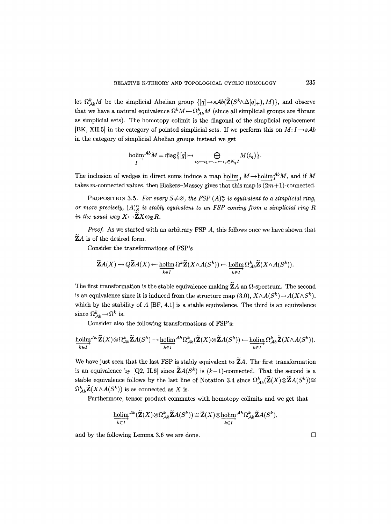let  $\Omega_{Ab}^k M$  be the simplicial Abelian group  $\{[q] \mapsto sAb(\mathbf{Z}(S^k \wedge \Delta[q]_+), M)\},$  and observe that we have a natural equivalence  $\Omega^k M \leftarrow \Omega_{Ab}^k M$  (since all simplicial groups are fibrant as simplicial sets). The homotopy colimit is the diagonal of the simplicial replacement [BK, XII.5] in the category of pointed simplicial sets. If we perform this on  $M: I \rightarrow sAb$ in the category of simplicial Abelian groups instead we get

$$
\mathop{\textrm{holim}}_{I}^{\mathcal{A}b}M=\textrm{diag}\big\{[q]\mapsto \bigoplus_{i_0\leftarrow i_1\leftarrow\ldots\leftarrow i_q\in N_q I}M(i_q)\big\}.
$$

The inclusion of wedges in direct sums induce a map  $\underline{\text{holim}}_I M \to \underline{\text{holim}}_I^{\mathcal{Ab}} M$ , and if M takes m-connected values, then Blakers-Massey gives that this map is  $(2m+1)$ -connected.

PROPOSITION 3.5. For every  $S \neq \emptyset$ , the FSP  $(A)^n$  is equivalent to a simplicial ring, *or more precisely,*  $(A)_{\mathcal{R}}^n$  is stably equivalent to an FSP coming from a simplicial ring R *in the usual way*  $X \mapsto \widetilde{\mathbf{Z}} X \otimes_{\mathbf{Z}} R$ .

*Proof.* As we started with an arbitrary FSP A, this follows once we have shown that  $\widetilde{Z}A$  is of the desired form.

Consider the transformations of FSP's

$$
\widetilde{\mathbf{Z}}A(X) \to Q\widetilde{\mathbf{Z}}A(X) \leftarrow \underset{k \in I}{\operatorname{holim}} \Omega^k \widetilde{\mathbf{Z}}(X \wedge A(S^k)) \leftarrow \underset{k \in I}{\operatorname{holim}} \Omega^k_{\mathcal{A}b} \widetilde{\mathbf{Z}}(X \wedge A(S^k)).
$$

The first transformation is the stable equivalence making  $\widetilde{Z}A$  an  $\Omega$ -spectrum. The second is an equivalence since it is induced from the structure map (3.0),  $X \wedge A(S^k) \rightarrow A(X \wedge S^k)$ , which by the stability of  $A$  [BF, 4.1] is a stable equivalence. The third is an equivalence since  $\Omega^k_{\mathcal{A}b}{\:\longrightarrow\:}\Omega^k$  is.

Consider also the following transformations of FSP's:

$$
\underset{k \in I}{\text{holim}}^{\mathcal{A}b} \widetilde{\mathbf{Z}}(X) \otimes \Omega_{\mathcal{A}b}^k \widetilde{\mathbf{Z}}A(S^k) \to \underset{k \in I}{\text{holim}}^{\mathcal{A}b} \Omega_{\mathcal{A}b}^k (\widetilde{\mathbf{Z}}(X) \otimes \widetilde{\mathbf{Z}}A(S^k)) \leftarrow \underset{k \in I}{\text{holim}} \Omega_{\mathcal{A}b}^k \widetilde{\mathbf{Z}}(X \wedge A(S^k)).
$$

We have just seen that the last FSP is stably equivalent to  $ZA$ . The first transformation is an equivalence by [Q2, II.6] since  $\widetilde{Z}A(S^k)$  is  $(k-1)$ -connected. That the second is a stable equivalence follows by the last line of Notation 3.4 since  $\Omega^k_{Ab}(\widetilde{\mathbf{Z}}(X)\otimes \widetilde{\mathbf{Z}}A(S^k)) \cong$  $\Omega_{Ab}^{k} \mathbf{Z}(X \wedge A(S^{k}))$  is as connected as X is.

Furthermore, tensor product commutes with homotopy colimits and we get that

$$
\underset{k \in I}{\text{holim}}^{\mathcal{A}b}(\widetilde{\mathbf{Z}}(X) \otimes \Omega^k_{\mathcal{A}b} \widetilde{\mathbf{Z}}A(S^k)) \cong \widetilde{\mathbf{Z}}(X) \otimes \underset{k \in I}{\text{holim}}^{\mathcal{A}b} \Omega^k_{\mathcal{A}b} \widetilde{\mathbf{Z}}A(S^k),
$$

and by the following Lemma 3.6 we are done.  $\Box$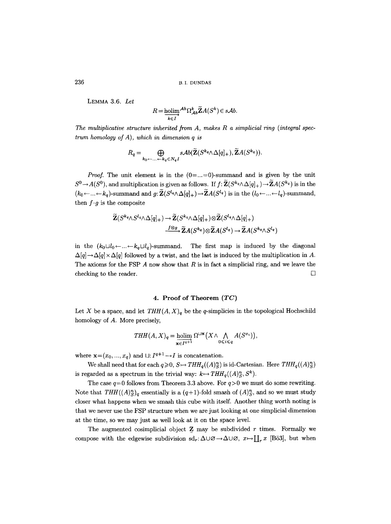LEMMA 3.6. *Let* 

$$
R = \underset{k \in I}{\text{holim}}^{\mathcal{A}b} \Omega_{\mathcal{A}b}^{k} \widetilde{\mathbf{Z}} A(S^{k}) \in s\mathcal{A}b.
$$

*The multiplicative structure inherited from A, makes R a simplicial ring (integral spectrum homology of A), which in dimension q is* 

$$
R_q = \bigoplus_{k_0 + \ldots + k_q \in N_q} sAb(\widetilde{\mathbf{Z}}(S^{k_q} \wedge \Delta[q]_+), \widetilde{\mathbf{Z}}A(S^{k_q})).
$$

*Proof.* The unit element is in the  $(0 = ... = 0)$ -summand and is given by the unit  $S^0 \to A(S^0)$ , and multiplication is given as follows. If  $f: \widetilde{\mathbb{Z}}(S^{k_q} \wedge \Delta[q]_+) \to \widetilde{\mathbb{Z}}A(S^{k_q})$  is in the  $(k_0 \leftarrow ... \leftarrow k_q)$ -summand and  $g: \widetilde{\mathbf{Z}}(S^{l_q} \wedge \Delta[q]_+) \rightarrow \widetilde{\mathbf{Z}}(S^{l_q})$  is in the  $(l_0 \leftarrow ... \leftarrow l_q)$ -summand, then  $f \cdot g$  is the composite

$$
\widetilde{\mathbf{Z}}(S^{k_q} \wedge S^{l_q} \wedge \Delta[q]_+) \to \widetilde{\mathbf{Z}}(S^{k_q} \wedge \Delta[q]_+) \otimes \widetilde{\mathbf{Z}}(S^{l_q} \wedge \Delta[q]_+)
$$
  

$$
\xrightarrow{f \otimes g} \widetilde{\mathbf{Z}}A(S^{k_q}) \otimes \widetilde{\mathbf{Z}}A(S^{l_q}) \to \widetilde{\mathbf{Z}}A(S^{k_q} \wedge S^{l_q})
$$

in the  $(k_0 \sqcup l_0 \leftarrow ... \leftarrow k_q \sqcup l_q)$ -summand. The first map is induced by the diagonal  $\Delta[q] \rightarrow \Delta[q] \times \Delta[q]$  followed by a twist, and the last is induced by the multiplication in A. The axioms for the FSP  $A$  now show that  $R$  is in fact a simplicial ring, and we leave the checking to the reader.  $\Box$ 

# **4. Proof of Theorem** *(TC)*

Let X be a space, and let  $THH(A, X)<sub>q</sub>$  be the q-simplicies in the topological Hochschild homology of A. More precisely,

$$
THH(A, X)_q = \underset{\mathbf{x} \in I^{q+1}}{\text{holim}} \Omega^{\sqcup \mathbf{x}}\big(X \wedge \bigwedge_{0 \leq i \leq q} A(S^{x_i})\big),
$$

where  $\mathbf{x} = (x_0, ..., x_q)$  and  $\sqcup: I^{q+1} \rightarrow I$  is concatenation.

We shall need that for each  $q \ge 0$ ,  $S \mapsto THH_q((A)^n_S)$  is id-Cartesian. Here  $THH_q((A)^n_S)$ is regarded as a spectrum in the trivial way:  $k \mapsto THH_q((A)^n_S, S^k)$ .

The case  $q=0$  follows from Theorem 3.3 above. For  $q>0$  we must do some rewriting. Note that  $THH((A)^n_S)_{q}$  essentially is a  $(q+1)$ -fold smash of  $(A)^n_S$ , and so we must study closer what happens when we smash this cube with itself. Another thing worth noting is that we never use the FSP structure when we are just looking at one simplicial dimension at the time, so we may just as well look at it on the space level.

The augmented cosimplicial object  $Z$  may be subdivided  $r$  times. Formally we compose with the edgewise subdivision  $sd_r:\Delta\cup\emptyset\to\Delta\cup\emptyset$ ,  $x\mapsto\prod_rx$  [Bö3], but when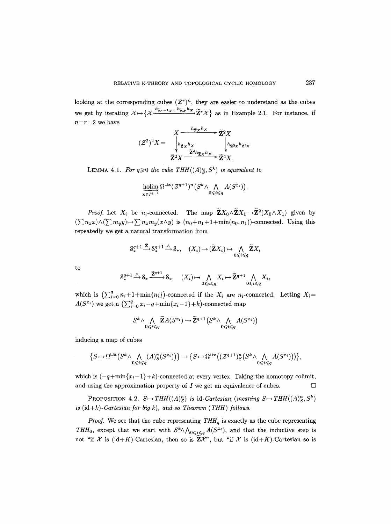looking at the corresponding cubes  $(\mathcal{Z}^r)^n$ , they are easier to understand as the cubes we get by iterating  $\mathcal{X} \mapsto \{ \mathcal{X} \xrightarrow{h_{\tilde{Z}r-1}} \mathcal{X} \xrightarrow{h_{\tilde{Z}z}h_{\mathcal{X}}} \tilde{Z}^r \mathcal{X} \}$  as in Example 2.1. For instance, if  $n=r=2$  we have  $\mathbf{r}$ 

$$
(\mathcal{Z}^2)^2 X = \begin{array}{c} X \xrightarrow{h_{\widetilde{Z}X} h_X} \widetilde{\mathbf{Z}}^2 X \\ \downarrow h_{\widetilde{\mathbf{Z}}X} h_X \downarrow h_{\widetilde{\mathbf{Z}}^3 X} h_{\widetilde{\mathbf{Z}}^2 X} \\ \widetilde{\mathbf{Z}}^2 X \xrightarrow{\widetilde{\mathbf{Z}}^2 h_{\widetilde{\mathbf{Z}}X} h_X} \widetilde{\mathbf{Z}}^4 X. \end{array}
$$

LEMMA 4.1. *For q* $\geq$ 0 *the cube THH((A)<sup>n</sup><sub>S</sub>, S<sup>k</sup>) is equivalent to* 

$$
\mathop{\textrm{holim}}\limits_{\mathbf{x}\in I^{q+1}} \Omega^{\sqcup \mathbf{x}}(\mathcal{Z}^{q+1})^n \big(S^k \wedge \bigwedge_{0 \leqslant i \leqslant q} A(S^{x_i}) \big).
$$

*Proof.* Let  $X_i$  be n<sub>i</sub>-connected. The map  $\widetilde{\mathbf{Z}}X_0 \wedge \widetilde{\mathbf{Z}}X_1 \rightarrow \widetilde{\mathbf{Z}}^2(X_0 \wedge X_1)$  given by  $(\sum n_x x) \wedge (\sum m_y y) \mapsto \sum n_x m_y (x \wedge y)$  is  $(n_0 + n_1 + 1 + \min(n_0, n_1))$ -connected. Using this repeatedly we get a natural transformation from

$$
\mathbb{S}_{*}^{q+1} \xrightarrow{\mathbf{Z}} \mathbb{S}_{*}^{q+1} \xrightarrow{\wedge} \mathbb{S}_{*}, \quad (X_{i}) \mapsto (\widetilde{\mathbf{Z}}X_{i}) \mapsto \bigwedge_{0 \leq i \leq q} \widetilde{\mathbf{Z}}X_{i}
$$

to

$$
S^{q+1}_{*} \xrightarrow{\wedge} S_{*} \xrightarrow{\widetilde{\mathbf{Z}}^{q+1}} S_{*}, \quad (X_{i}) \mapsto \bigwedge_{0 \leq i \leq q} X_{i} \mapsto \widetilde{\mathbf{Z}}^{q+1} \bigwedge_{0 \leq i \leq q} X_{i},
$$

which is  $\left(\sum_{i=0}^{q} n_i + 1 + \min\{n_i\}\right)$ -connected if the  $X_i$  are  $n_i$ -connected. Letting  $X_i =$  $A(S^{x_i})$  we get a  $\left(\sum_{i=0}^q x_i - q + \min\{x_i - 1\} + k\right)$ -connected map

$$
S^k \wedge \bigwedge_{0 \leq i \leq q} \widetilde{\mathbf{Z}}A(S^{x_i}) \to \widetilde{\mathbf{Z}}^{q+1}\left(S^k \wedge \bigwedge_{0 \leq i \leq q} A(S^{x_i})\right)
$$

inducing a map of cubes

$$
\big\{S\!\mapsto\!\Omega^{\sqcup\mathbf{x}}\big(S^k\wedge\bigwedge_{0\leqslant i\leqslant q}(A)^n_S(S^{x_i})\big)\big\}\!\rightarrow\!\big\{S\!\mapsto\!\Omega^{\sqcup\mathbf{x}}\big((\mathcal{Z}^{q+1})^n_S\big(S^k\wedge\bigwedge_{0\leqslant i\leqslant q}A(S^{x_i})\big)\big)\big\},
$$

which is  $(-q+\min\{x_i-1\}+k)$ -connected at every vertex. Taking the homotopy colimit, and using the approximation property of  $I$  we get an equivalence of cubes.  $\Box$ 

PROPOSITION 4.2.  $S \mapsto THH((A)^n_S)$  is id-Cartesian (meaning  $S \mapsto THH((A)^n_S, S^k)$ *is*  $(id+k)$ -Cartesian for big  $k$ ), and so Theorem (THH) follows.

*Proof.* We see that the cube representing  $THH_q$  is exactly as the cube representing *THH*<sub>0</sub>, except that we start with  $S^k \wedge \bigwedge_{0 \leq i \leq q} A(S^{x_i})$ , and that the inductive step is not "if X is (id+K)-Cartesian, then so is  $\widetilde{\mathbf{Z}}\chi$ ", but "if X is (id+K)-Cartesian so is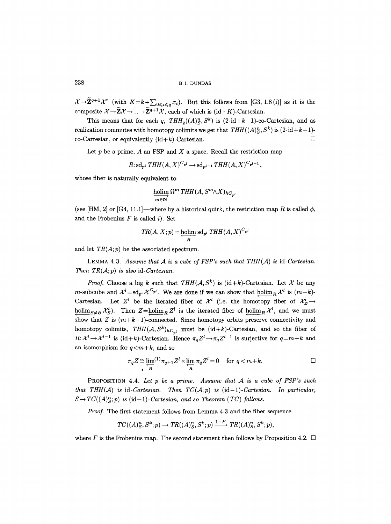$\mathcal{X} \rightarrow \widetilde{\mathbf{Z}}^{q+1} \mathcal{X}^{\prime\prime}$  (with  $K=k+\sum_{0 \leqslant i \leqslant q} x_i$ ). But this follows from [G3, 1.8 (i)] as it is the composite  $\mathcal{X} \rightarrow \widetilde{\mathbf{Z}} \mathcal{X} \rightarrow ... \rightarrow \widetilde{\mathbf{Z}}^{q+1} \mathcal{X}$ , each of which is (id+K)-Cartesian.

This means that for each *q,*  $THH_a((A)^n_s, S^k)$  is  $(2 \cdot id + k-1)$ -co-Cartesian, and as realization commutes with homotopy colimits we get that  $THH((A)^n_S, S^k)$  is  $(2 \cdot id + k-1)$ co-Cartesian, or equivalently  $(id+k)$ -Cartesian.  $\square$ 

Let  $p$  be a prime,  $A$  an FSP and  $X$  a space. Recall the restriction map

$$
R: \mathrm{sd}_{p^l} \; THH(A, X)^{C_{p^l}} \to \mathrm{sd}_{p^{l-1}} THH(A, X)^{C_{p^{l-1}}},
$$

whose fiber is naturally equivalent to

$$
\mathop{\underline{\rm holim}}\limits_{m\in{\bf N}} \Omega^m\mathop{THH}\limits(A,S^m\wedge X)_{hC_{p^l}}
$$

(see [HM, 2] or [G4, 11.1]—where by a historical quirk, the restriction map R is called  $\phi$ , and the Frobenius  $F$  is called  $i$ ). Set

$$
TR(A, X; p) = \underset{R}{\underline{\text{holim}} \text{ sd}_{p^l}} \text{THH}(A, X)^{C_{p^l}}
$$

and let *TR(A; p)* be the associated spectrum.

LEMMA 4.3. Assume that  $A$  is a cube of FSP's such that  $THH(A)$  is id-Cartesian. *Then TR(* $A$ *; p) is also id-Cartesian.* 

*Proof.* Choose a big k such that  $THH(A, S^k)$  is (id+k)-Cartesian. Let X be any *m*-subcube and  $\mathcal{X}^l = \mathrm{sd}_{n^l} \mathcal{X}^{C_{p^l}}$ . We are done if we can show that holim<sub>p</sub>  $\mathcal{X}^l$  is  $(m+k)$ -Cartesian. Let Z<sup>i</sup> be the iterated fiber of  $\mathcal{X}^l$  (i.e. the homotopy fiber of  $\mathcal{X}^l_{\varnothing} \to$ holim<sub>S $\neq \emptyset$ </sub>  $\mathcal{X}_S^l$ . Then  $Z = \text{holim}_R Z^l$  is the iterated fiber of holim<sub>R</sub>  $\mathcal{X}^l$ , and we must show that Z is  $(m+k-1)$ -connected. Since homotopy orbits preserve connectivity and homotopy colimits,  $THH(\mathcal{A}, S^k)_{hC_{n^l}}$  must be (id+k)-Cartesian, and so the fiber of  $R: \mathcal{X}^l \to \mathcal{X}^{l-1}$  is (id+k)-Cartesian. Hence  $\pi_q Z^l \to \pi_q Z^{l-1}$  is surjective for  $q=m+k$  and an isomorphism for  $q < m+k$ , and so

$$
\pi_q Z \cong \lim_{R} {}^{(1)}\pi_{q+1} Z^l \times \lim_{R} \pi_q Z^l = 0 \quad \text{for } q < m+k.
$$

PROPOSITION 4.4. Let p be a prime. Assume that A is a cube of FSP's such *that THH(A) is id-Cartesian. Then*  $TC(A;p)$  *is (id-1)-Cartesian. In particular,*  $S \mapsto TC((A)^n_S; p)$  is (id-1)-Cartesian, and so Theorem (TC) follows.

*Proof.* The first statement follows from Lemma 4.3 and the fiber sequence

$$
TC((A)_S^n, S^k; p) \to TR((A)_S^n, S^k; p) \xrightarrow{1-F} TR((A)_S^n, S^k; p),
$$

where F is the Frobenius map. The second statement then follows by Proposition 4.2.  $\Box$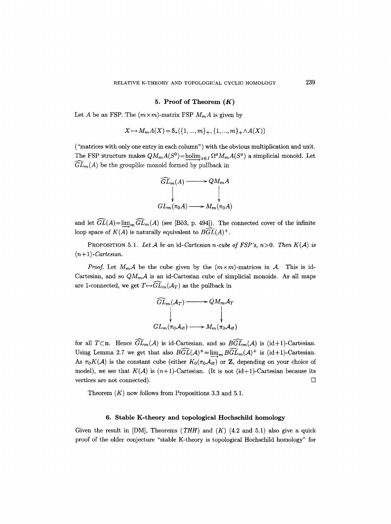#### **5. Proof of Theorem (K)**

Let A be an FSP. The  $(m \times m)$ -matrix FSP  $M_m A$  is given by

$$
X \mapsto M_m A(X) = \mathcal{S}_*(\{1, ..., m\}, \{1, ..., m\}, \land A(X))
$$

("matrices with only one entry in each column") with the obvious multiplication and unit. The FSP structure makes  $QM_mA(S^0)$ =holim<sub>xel</sub>  $\Omega^xM_mA(S^x)$  a simplicial monoid. Let  $\widehat{GL}_m(A)$  be the grouplike monoid formed by pullback in



and let  $\widehat{GL}(A)=\lim_{m\to\infty}\widehat{GL}_m(A)$  (see [Bö3, p. 494]). The connected cover of the infinite loop space of  $K(A)$  is naturally equivalent to  $B\widehat{GL}(A)^+$ .

PROPOSITION 5.1. Let A be an id-Cartesian n-cube of FSP's,  $n>0$ . Then  $K(A)$  is  $(n+1)$ -Cartesian.

*Proof.* Let  $M_m \mathcal{A}$  be the cube given by the  $(m \times m)$ -matrices in  $\mathcal{A}$ . This is id-Cartesian, and so  $QM_m\mathcal{A}$  is an id-Cartesian cube of simplicial monoids. As all maps are 1-connected, we get  $T{\mapsto}\widehat{GL}_m(\mathcal{A}_T)$  as the pullback in

$$
\begin{aligned}\n\widehat{GL}_m(\mathcal{A}_T) &\longrightarrow QM_m\mathcal{A}_T \\
\downarrow &\downarrow \\
GL_m(\pi_0\mathcal{A}_\varnothing) &\longrightarrow M_m(\pi_0\mathcal{A}_\varnothing)\n\end{aligned}
$$

for all  $T \subset n$ . Hence  $\widehat{GL}_m(\mathcal{A})$  is id-Cartesian, and so  $\widehat{BGL}_m(\mathcal{A})$  is (id+1)-Cartesian. Using Lemma 2.7 we get that also  $\widehat{BGL}(\mathcal{A})^+=\lim_m\widehat{BGL}_m(\mathcal{A})^+$  is (id+1)-Cartesian. As  $\pi_0 K(\mathcal{A})$  is the constant cube (either  $K_0(\pi_0 \mathcal{A}_{\varnothing})$  or Z, depending on your choice of model), we see that  $K(\mathcal{A})$  is  $(n+1)$ -Cartesian. (It is not (id+1)-Cartesian because its vertices are not connected).  $\Box$ 

Theorem  $(K)$  now follows from Propositions 3.3 and 5.1.

# **6. Stable K-theory and topological Hochschild homology**

Given the result in [DM], Theorems *(THH)* and (K) (4.2 and 5.1) also give a quick proof of the older conjecture "stable K-theory is topological Hochschild homology" for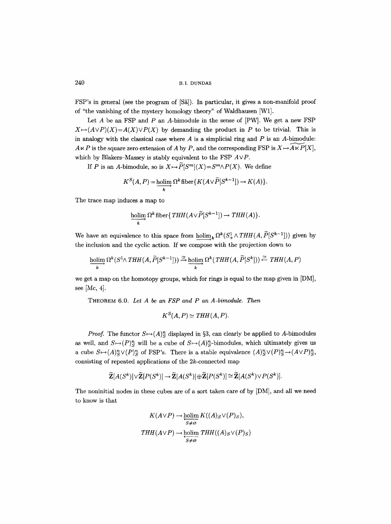FSP's in general (see the program of [Sa]). In particular, it gives a non-manifold proof of "the vanishing of the mystery homology theory" of Waldhausen [Wl].

Let  $A$  be an FSP and  $P$  an  $A$ -bimodule in the sense of  $[PW]$ . We get a new FSP  $X \mapsto (A \vee P)(X) = A(X) \vee P(X)$  by demanding the product in P to be trivial. This is in analogy with the classical case where  $A$  is a simplicial ring and  $P$  is an  $A$ -bimodule:  $A \ltimes P$  is the square zero extension of A by P, and the corresponding FSP is  $X \mapsto \widetilde{A \ltimes P}[X]$ , which by Blakers-Massey is stably equivalent to the FSP *AVP.* 

If P is an A-bimodule, so is  $X \mapsto \widetilde{P}[S^m](X) = S^m \wedge P(X)$ . We define

$$
K^{S}(A, P) = \underline{\text{holim}} \, \Omega^{k} \operatorname{fiber} \{ K(A \vee \widetilde{P}[S^{k-1}]) \to K(A) \}.
$$

The trace map induces a map to

$$
\underset{k}{\text{holim }} \Omega^k \text{ fiber} \{ THH(A \vee \widetilde{P}[S^{k-1}]) \to THH(A) \}.
$$

We have an equivalence to this space from  $\underline{\text{holim}}_k \Omega^k(S^1_+ \wedge THH(A, \widetilde{P}[S^{k-1}]))$  given by the inclusion and the cyclic action. If we compose with the projection down to

$$
\underset{k}{\text{holim}} \Omega^k(S^1 \wedge THH(A, \widetilde{P}[S^{k-1}])) \xrightarrow{\simeq} \underset{k}{\text{holim}} \Omega^k(THH(A, \widetilde{P}[S^k])) \xleftarrow{\simeq} THH(A, P)
$$

we get a map on the homotopy groups, which for rings is equal to the map given in [DM], see [Mc, 4].

THEOREM 6.0. *Let A be an FSP and P an A-bimodule. Then* 

$$
K^S(A, P) \simeq THH(A, P).
$$

*Proof.* The functor  $S \mapsto (A)^n_S$  displayed in §3, can clearly be applied to A-bimodules as well, and  $S \rightarrow (P)^n_S$  will be a cube of  $S \rightarrow (A)^n_S$ -bimodules, which ultimately gives us a cube  $S \mapsto (A)^n_S \vee (P)^n_S$  of FSP's. There is a stable equivalence  $(A)^n_S \vee (P)^n_S \mapsto (A \vee P)^n_S$ , consisting of repeated applications of the 2k-connected map

$$
\widetilde{\mathbf{Z}}[A(S^k)]\vee \widetilde{\mathbf{Z}}[P(S^k)]\to \widetilde{\mathbf{Z}}[A(S^k)]\oplus \widetilde{\mathbf{Z}}[P(S^k)]\cong \widetilde{\mathbf{Z}}[A(S^k)\vee P(S^k)].
$$

The noninitial nodes in these cubes are of a sort taken care of by [DM], and all we need to know is that

$$
K(A \lor P) \to \underset{S \neq \emptyset}{\text{holim}} K((A)_{S} \lor (P)_{S}),
$$
  

$$
THH(A \lor P) \to \underset{S \neq \emptyset}{\text{holim}} THH((A)_{S} \lor (P)_{S})
$$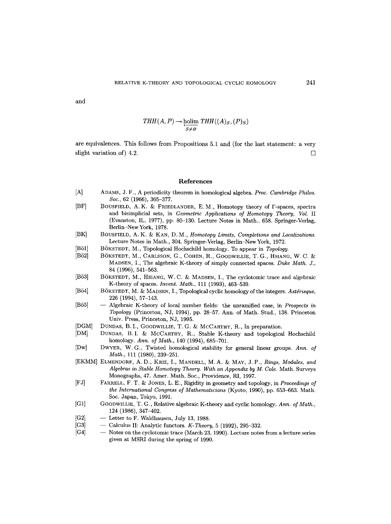and

$$
THH(A, P) \to \underset{S \neq \varnothing}{\text{holim}} THH((A)_S, (P)_S)
$$

are equivalences. This follows from Propositions 5.1 and (for the last statement: a very slight variation of  $(4.2)$ .

#### References

- [A] ADAMS, J. F., A periodicity theorem in homological algebra. *Proc. Cambridge Philos. Sou.,* 62 (1966), 365-377.
- [BF] BOUSFIELD, A.K. & FRIEDLANDER, E.M., Homotopy theory of  $\Gamma$ -spaces, spectra and bisimplicial sets, in *Geometric Applications of Homotopy Theory, Vol.* II (Evanston, IL, 1977), pp. 80-130. Lecture Notes in Math., 658. Springer-Verlag, Berlin-New York, 1978.
- [BK] BOUSFIELD, A.K. & KAN, D.M., *Homotopy Limits, Completions and Localizations.* Lecture Notes in Math., 304. Springer-Verlag, Berlin-NewYork, 1972.
- [Bö1] BÖKSTEDT, M., Topological Hochschild homology. To appear in *Topology.*<br>[Bö2] BÖKSTEDT, M., CARLSSON, G., COHEN, R., GOODWILLIE, T. G., HSIANG
- BÖKSTEDT, M., CARLSSON, G., COHEN, R., GOODWILLIE, T. G., HSIANG, W. C. & MADSEN, I., The algebraic K-theory of simply connected spaces. *Duke Math. J.,*  84 (1996), 541-563.
- [Bö3] BÖKSTEDT, M., HSIANG, W.C. & MADSEN, I., The cyclotomic trace and algebraic K-theory of spaces. *Invent. Math.,* 111 (1993), 463-539.
- [Bö4] BÖKSTEDT, M. & MADSEN, I., Topological cyclic homology of the integers. Astérisque, 226 (1994), 57-143.
- [Bö5] -- Algebraic K-theory of local number fields: the unramified case, in *Prospects in Topology* (Princeton, NJ, 1994), pp. 28-57. Ann. of Math. Stud., 138. Princeton Univ. Press, Princeton, NJ, 1995.
- [DGM] DUNDAS, B.I., GOODWILLIE, T. G. & McCARTHY, R., In preparation.
- [DM] DUNDAS, B.I. & MCCARTHY, R., Stable K-theory and topological Hochschild homology. *Ann. of Math.,* 140 (1994), 685-701.
- [Dw] DWYER, W.G., Twisted homological stability for general linear groups. *Ann. of Math.,* 111 (1980), 239-251.
- [EKMM] ELMENDORF, A.D., KRIZ, I., MANDELL, M.A. & MAY, J.P., *Rings, Modules, and Algebras in Stable Homotopy Theory. With an Appendix by M. Cole.* Math. Surveys Monographs, 47. Amer. Math. Soc., Providence, RI, 1997.
- [FJ] FARRELL, F.T. & JONES, L.E., Rigidity in geometry and topology, in *Proceedings of the International Congress of Mathematicians* (Kyoto, 1990), pp. 653-663. Math. Soc. Japan, Tokyo, 1991.
- [G1] GOODWILLIE, T. G., Relative algebraic K-theory and cyclic homology. *Ann. of Math.,*  124 (1986), 347-402.
- [G2]  $-$  Letter to F. Waldhausen, July 13, 1988.
- [G3] -- Calculus II: Analytic functors. *K-Theory,* 5 (1992), 295-332.
- [G4] -- Notes on the cyclotomic trace (March 23, 1990). Lecture notes from a lecture series given at MSRI during the spring of 1990.